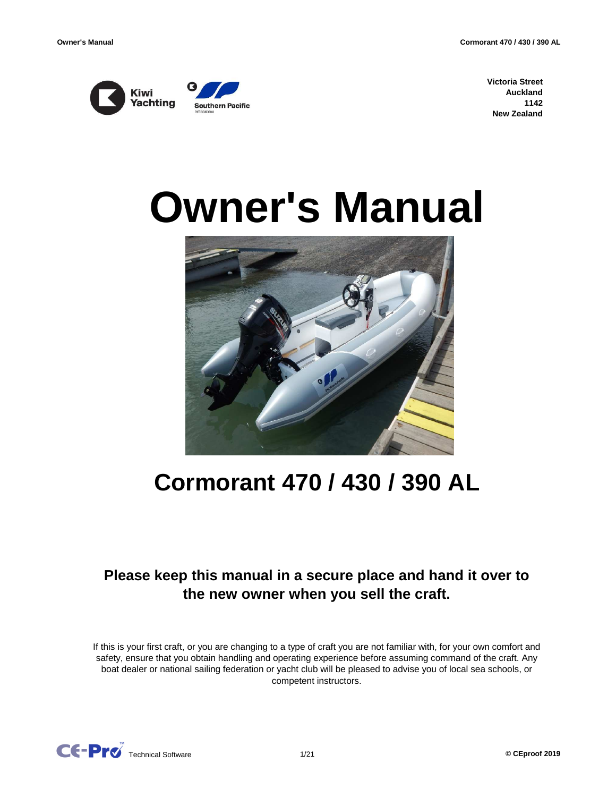

**Victoria Street Auckland 1142 New Zealand**

# **Owner's Manual**



## **Cormorant 470 / 430 / 390 AL**

## **Please keep this manual in a secure place and hand it over to the new owner when you sell the craft.**

If this is your first craft, or you are changing to a type of craft you are not familiar with, for your own comfort and safety, ensure that you obtain handling and operating experience before assuming command of the craft. Any boat dealer or national sailing federation or yacht club will be pleased to advise you of local sea schools, or competent instructors.

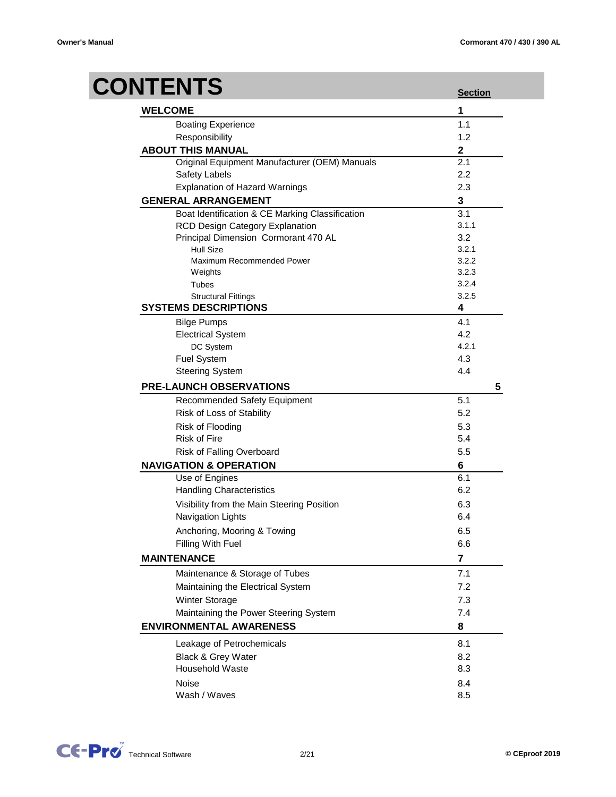## **CONTENTS**

| 8 I EN I S         |                                                 | <b>Section</b>          |   |
|--------------------|-------------------------------------------------|-------------------------|---|
| <b>WELCOME</b>     |                                                 | 1                       |   |
|                    | <b>Boating Experience</b>                       | 1.1                     |   |
|                    | Responsibility                                  | 1.2                     |   |
|                    | <b>ABOUT THIS MANUAL</b>                        | $\overline{\mathbf{2}}$ |   |
|                    | Original Equipment Manufacturer (OEM) Manuals   | $\overline{2.1}$        |   |
|                    | Safety Labels                                   | 2.2                     |   |
|                    | <b>Explanation of Hazard Warnings</b>           | 2.3                     |   |
|                    | <b>GENERAL ARRANGEMENT</b>                      | 3                       |   |
|                    | Boat Identification & CE Marking Classification | 3.1                     |   |
|                    | RCD Design Category Explanation                 | 3.1.1                   |   |
|                    | Principal Dimension Cormorant 470 AL            | 3.2                     |   |
|                    | <b>Hull Size</b>                                | 3.2.1                   |   |
|                    | Maximum Recommended Power                       | 3.2.2                   |   |
|                    | Weights                                         | 3.2.3                   |   |
|                    | Tubes                                           | 3.2.4                   |   |
|                    | <b>Structural Fittings</b>                      | 3.2.5                   |   |
|                    | <b>SYSTEMS DESCRIPTIONS</b>                     | 4                       |   |
|                    | <b>Bilge Pumps</b>                              | 4.1                     |   |
|                    | <b>Electrical System</b>                        | 4.2                     |   |
|                    | DC System                                       | 4.2.1                   |   |
|                    | Fuel System                                     | 4.3                     |   |
|                    | <b>Steering System</b>                          | 4.4                     |   |
|                    | <b>PRE-LAUNCH OBSERVATIONS</b>                  |                         | 5 |
|                    | <b>Recommended Safety Equipment</b>             | 5.1                     |   |
|                    | Risk of Loss of Stability                       | 5.2                     |   |
|                    | Risk of Flooding                                | 5.3                     |   |
|                    | <b>Risk of Fire</b>                             | 5.4                     |   |
|                    | Risk of Falling Overboard                       | 5.5                     |   |
|                    | <b>NAVIGATION &amp; OPERATION</b>               | 6                       |   |
|                    | Use of Engines                                  | 6.1                     |   |
|                    | <b>Handling Characteristics</b>                 | 6.2                     |   |
|                    | Visibility from the Main Steering Position      | 6.3                     |   |
|                    | Navigation Lights                               | 6.4                     |   |
|                    | Anchoring, Mooring & Towing                     | 6.5                     |   |
|                    | Filling With Fuel                               | 6.6                     |   |
| <b>MAINTENANCE</b> |                                                 | 7                       |   |
|                    | Maintenance & Storage of Tubes                  | 7.1                     |   |
|                    | Maintaining the Electrical System               | 7.2                     |   |
|                    | Winter Storage                                  | 7.3                     |   |
|                    | Maintaining the Power Steering System           | 7.4                     |   |
|                    | <b>ENVIRONMENTAL AWARENESS</b>                  | 8                       |   |
|                    |                                                 |                         |   |
|                    | Leakage of Petrochemicals                       | 8.1                     |   |
|                    | Black & Grey Water                              | 8.2                     |   |
|                    | <b>Household Waste</b>                          | 8.3                     |   |
| Noise              |                                                 | 8.4                     |   |
|                    | Wash / Waves                                    | 8.5                     |   |

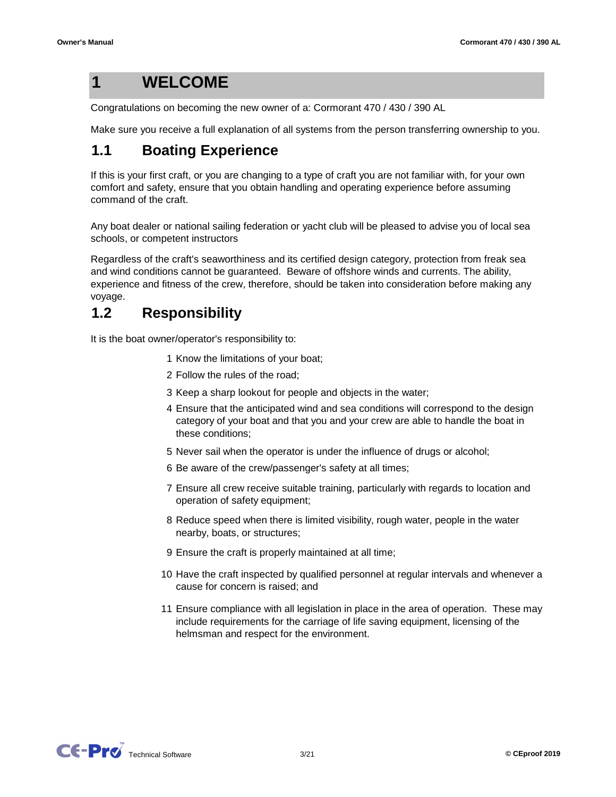**1**

## **WELCOME**

Congratulations on becoming the new owner of a: Cormorant 470 / 430 / 390 AL

Make sure you receive a full explanation of all systems from the person transferring ownership to you.

#### **1.1 Boating Experience**

If this is your first craft, or you are changing to a type of craft you are not familiar with, for your own comfort and safety, ensure that you obtain handling and operating experience before assuming command of the craft.

Any boat dealer or national sailing federation or yacht club will be pleased to advise you of local sea schools, or competent instructors

Regardless of the craft's seaworthiness and its certified design category, protection from freak sea and wind conditions cannot be guaranteed. Beware of offshore winds and currents. The ability, experience and fitness of the crew, therefore, should be taken into consideration before making any voyage.

#### **1.2 Responsibility**

It is the boat owner/operator's responsibility to:

- 1 Know the limitations of your boat;
- 2 Follow the rules of the road;
- 3 Keep a sharp lookout for people and objects in the water;
- 4 Ensure that the anticipated wind and sea conditions will correspond to the design category of your boat and that you and your crew are able to handle the boat in these conditions;
- 5 Never sail when the operator is under the influence of drugs or alcohol;
- 6 Be aware of the crew/passenger's safety at all times;
- 7 Ensure all crew receive suitable training, particularly with regards to location and operation of safety equipment;
- 8 Reduce speed when there is limited visibility, rough water, people in the water nearby, boats, or structures;
- 9 Ensure the craft is properly maintained at all time;
- 10 Have the craft inspected by qualified personnel at regular intervals and whenever a cause for concern is raised; and
- 11 Ensure compliance with all legislation in place in the area of operation. These may include requirements for the carriage of life saving equipment, licensing of the helmsman and respect for the environment.

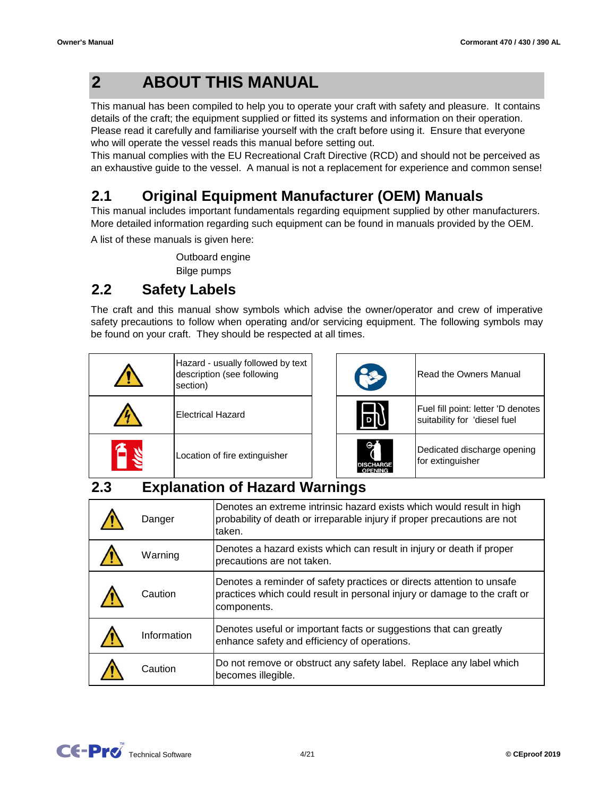#### **2 ABOUT THIS MANUAL**

This manual has been compiled to help you to operate your craft with safety and pleasure. It contains details of the craft; the equipment supplied or fitted its systems and information on their operation. Please read it carefully and familiarise yourself with the craft before using it. Ensure that everyone who will operate the vessel reads this manual before setting out.

This manual complies with the EU Recreational Craft Directive (RCD) and should not be perceived as an exhaustive guide to the vessel. A manual is not a replacement for experience and common sense!

#### **2.1 Original Equipment Manufacturer (OEM) Manuals**

This manual includes important fundamentals regarding equipment supplied by other manufacturers. More detailed information regarding such equipment can be found in manuals provided by the OEM.

A list of these manuals is given here:

Bilge pumps Outboard engine

#### **2.2 Safety Labels**

The craft and this manual show symbols which advise the owner/operator and crew of imperative safety precautions to follow when operating and/or servicing equipment. The following symbols may be found on your craft. They should be respected at all times.

| Hazard - usually followed by text<br>description (see following<br>section) |
|-----------------------------------------------------------------------------|
| <b>Electrical Hazard</b>                                                    |
| Location of fire extinguisher                                               |

| <b>Read the Owners Manual</b>                                      |
|--------------------------------------------------------------------|
| Fuel fill point: letter 'D denotes<br>suitability for 'diesel fuel |
| Dedicated discharge opening<br>for extinguisher                    |

#### **2.3 Explanation of Hazard Warnings**

| Danger      | Denotes an extreme intrinsic hazard exists which would result in high<br>probability of death or irreparable injury if proper precautions are not<br>taken.       |
|-------------|-------------------------------------------------------------------------------------------------------------------------------------------------------------------|
| Warning     | Denotes a hazard exists which can result in injury or death if proper<br>precautions are not taken.                                                               |
| Caution     | Denotes a reminder of safety practices or directs attention to unsafe<br>practices which could result in personal injury or damage to the craft or<br>components. |
| Information | Denotes useful or important facts or suggestions that can greatly<br>enhance safety and efficiency of operations.                                                 |
| Caution     | Do not remove or obstruct any safety label. Replace any label which<br>becomes illegible.                                                                         |

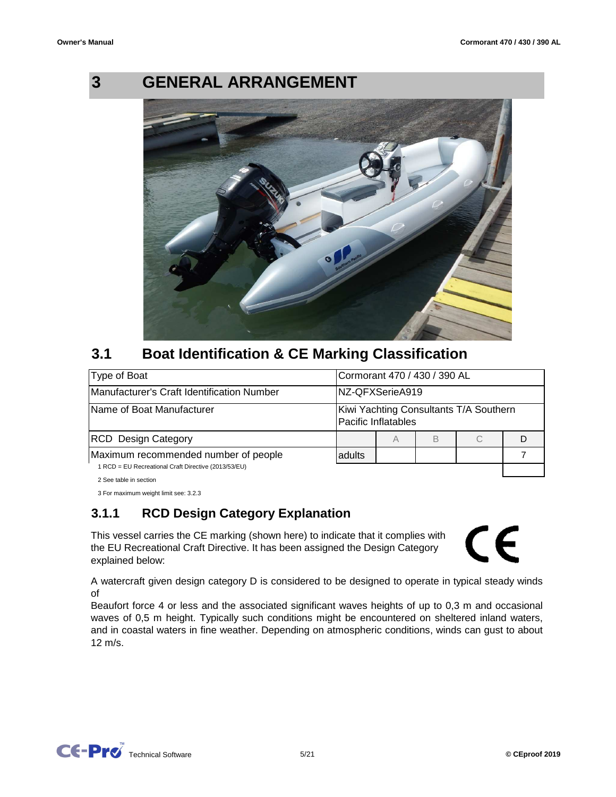

## **GENERAL ARRANGEMENT**



#### **3.1 Boat Identification & CE Marking Classification**

| Type of Boat                                         |        | Cormorant 470 / 430 / 390 AL                                  |   |   |  |
|------------------------------------------------------|--------|---------------------------------------------------------------|---|---|--|
| <b>IManufacturer's Craft Identification Number</b>   |        | NZ-QFXSerieA919                                               |   |   |  |
| <b>Name of Boat Manufacturer</b>                     |        | Kiwi Yachting Consultants T/A Southern<br>Pacific Inflatables |   |   |  |
| <b>RCD</b> Design Category                           |        | A                                                             | B | С |  |
| Maximum recommended number of people                 | adults |                                                               |   |   |  |
| 1 RCD = EU Recreational Craft Directive (2013/53/EU) |        |                                                               |   |   |  |

2 See table in section

3 For maximum weight limit see: 3.2.3

## **3.1.1 RCD Design Category Explanation**

This vessel carries the CE marking (shown here) to indicate that it complies with the EU Recreational Craft Directive. It has been assigned the Design Category explained below:



A watercraft given design category D is considered to be designed to operate in typical steady winds of

Beaufort force 4 or less and the associated significant waves heights of up to 0,3 m and occasional waves of 0,5 m height. Typically such conditions might be encountered on sheltered inland waters, and in coastal waters in fine weather. Depending on atmospheric conditions, winds can gust to about 12 m/s.

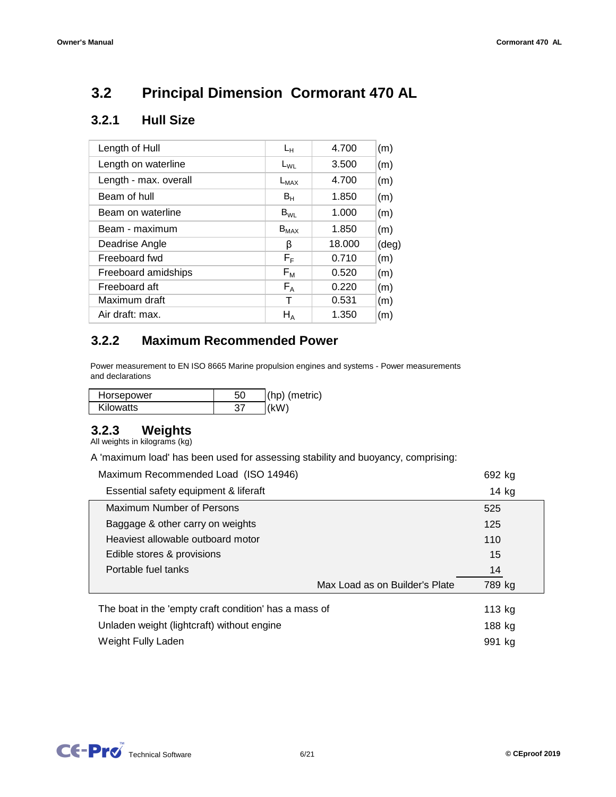#### **3.2 Principal Dimension Cormorant 470 AL**

## **3.2.1 Hull Size**

| Length of Hull        | Lн                      | 4.700  | (m)            |
|-----------------------|-------------------------|--------|----------------|
| Length on waterline   | $L_{WL}$                | 3.500  | (m)            |
| Length - max. overall | $L_{MAX}$               | 4.700  | (m)            |
| Beam of hull          | $B_H$                   | 1.850  | (m)            |
| Beam on waterline     | $B_{WI}$                | 1.000  | (m)            |
| Beam - maximum        | $B_{MAX}$               | 1.850  | (m)            |
| Deadrise Angle        | β                       | 18.000 | $(\text{deg})$ |
| Freeboard fwd         | $\mathsf{F}_\mathsf{F}$ | 0.710  | (m)            |
| Freeboard amidships   | $F_M$                   | 0.520  | (m)            |
| Freeboard aft         | $F_A$                   | 0.220  | (m)            |
| Maximum draft         |                         | 0.531  | (m)            |
| Air draft: max.       | $H_A$                   | 1.350  | (m)            |
|                       |                         |        |                |

#### **3.2.2 Maximum Recommended Power**

Power measurement to EN ISO 8665 Marine propulsion engines and systems - Power measurements and declarations

| Horsepower       | 50 | $(hp)$ (metric) |
|------------------|----|-----------------|
| <b>Kilowatts</b> |    | (kM)            |

#### **3.2.3 Weights**

All weights in kilograms (kg)

A 'maximum load' has been used for assessing stability and buoyancy, comprising:

| Maximum Recommended Load (ISO 14946)                  |                                | 692 kg  |
|-------------------------------------------------------|--------------------------------|---------|
| Essential safety equipment & liferaft                 |                                | $14$ kg |
| Maximum Number of Persons                             |                                | 525     |
| Baggage & other carry on weights                      |                                | 125     |
| Heaviest allowable outboard motor                     |                                | 110     |
| Edible stores & provisions                            |                                | 15      |
| Portable fuel tanks                                   |                                | 14      |
|                                                       | Max Load as on Builder's Plate | 789 kg  |
| The boat in the 'empty craft condition' has a mass of |                                | 113 kg  |
| Unladen weight (lightcraft) without engine            |                                | 188 kg  |
| Weight Fully Laden                                    |                                | 991 kg  |

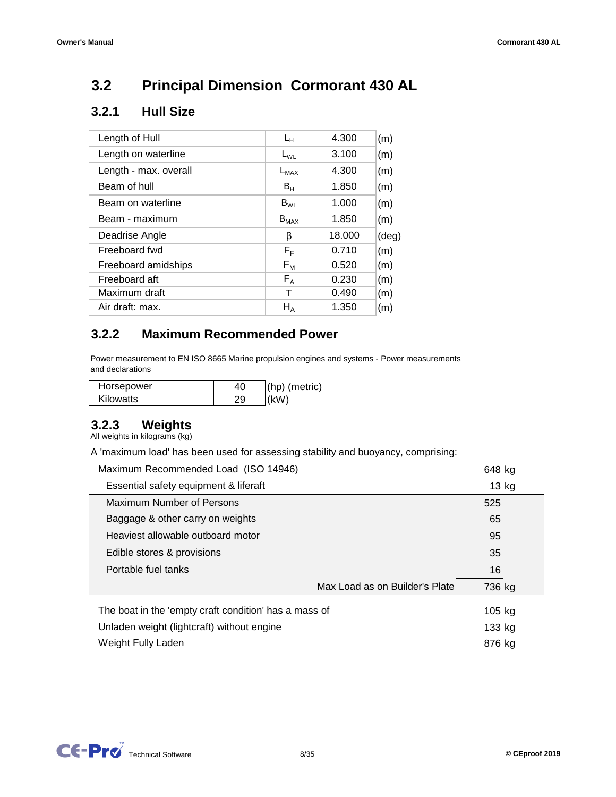#### **3.2 Principal Dimension Cormorant 430 AL**

## **3.2.1 Hull Size**

| Length of Hull        | $L_{H}$                 | 4.300  | (m)            |
|-----------------------|-------------------------|--------|----------------|
| Length on waterline   | $L_{WL}$                | 3.100  | (m)            |
| Length - max. overall | $L_{MAX}$               | 4.300  | (m)            |
| Beam of hull          | $B_H$                   | 1.850  | (m)            |
| Beam on waterline     | $B_{WL}$                | 1.000  | (m)            |
| Beam - maximum        | $B_{MAX}$               | 1.850  | (m)            |
| Deadrise Angle        | β                       | 18.000 | $(\text{deg})$ |
| Freeboard fwd         | $\mathsf{F}_\mathsf{F}$ | 0.710  | (m)            |
| Freeboard amidships   | $F_{\mathsf{M}}$        | 0.520  | (m)            |
| Freeboard aft         | $F_A$                   | 0.230  | (m)            |
| Maximum draft         | т                       | 0.490  | (m)            |
| Air draft: max.       | $H_A$                   | 1.350  | (m)            |

#### **3.2.2 Maximum Recommended Power**

Power measurement to EN ISO 8665 Marine propulsion engines and systems - Power measurements and declarations

| Horsepower       | $(hp)$ (metric) |
|------------------|-----------------|
| <b>Kilowatts</b> | (kW)            |

## **3.2.3 Weights**

All weights in kilograms (kg)

A 'maximum load' has been used for assessing stability and buoyancy, comprising:

| Maximum Recommended Load (ISO 14946)                  |                                | 648 kg  |
|-------------------------------------------------------|--------------------------------|---------|
| Essential safety equipment & liferaft                 |                                | $13$ kg |
| Maximum Number of Persons                             |                                | 525     |
| Baggage & other carry on weights                      |                                | 65      |
| Heaviest allowable outboard motor                     |                                | 95      |
| Edible stores & provisions                            |                                | 35      |
| Portable fuel tanks                                   |                                | 16      |
|                                                       | Max Load as on Builder's Plate | 736 kg  |
| The boat in the 'empty craft condition' has a mass of |                                | 105 kg  |
| Unladen weight (lightcraft) without engine            |                                | 133 kg  |
| Weight Fully Laden                                    |                                | 876 kg  |

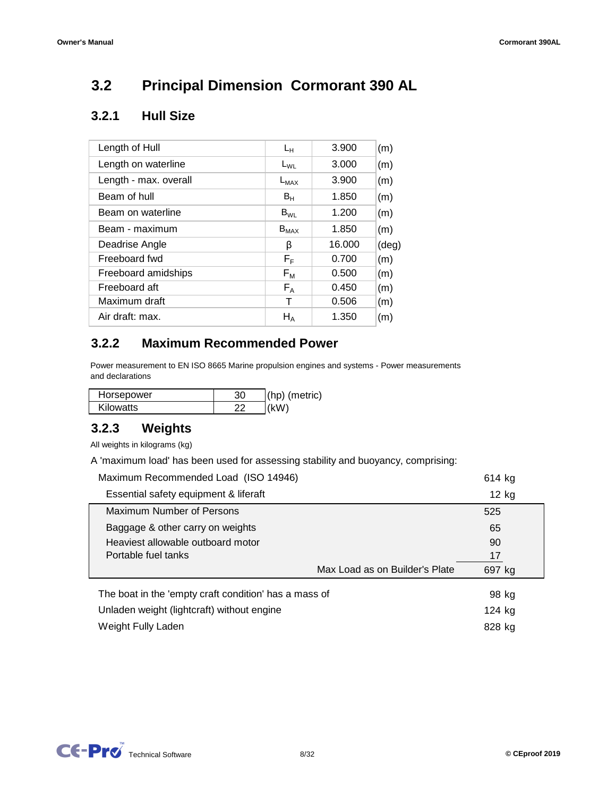#### **3.2 Principal Dimension Cormorant 390 AL**

## **3.2.1 Hull Size**

| Length of Hull        | Lн             | 3.900  | (m)            |
|-----------------------|----------------|--------|----------------|
| Length on waterline   | $L_{WL}$       | 3.000  | (m)            |
| Length - max. overall | $L_{MAX}$      | 3.900  | (m)            |
| Beam of hull          | B <sub>H</sub> | 1.850  | (m)            |
| Beam on waterline     | $B_{WI}$       | 1.200  | (m)            |
| Beam - maximum        | $B_{MAX}$      | 1.850  | (m)            |
| Deadrise Angle        | β              | 16.000 | $(\text{deg})$ |
| Freeboard fwd         | $F_F$          | 0.700  | (m)            |
| Freeboard amidships   | $F_M$          | 0.500  | (m)            |
| Freeboard aft         | $F_A$          | 0.450  | (m)            |
| Maximum draft         | т              | 0.506  | (m)            |
| Air draft: max.       | $H_A$          | 1.350  | (m)            |

#### **3.2.2 Maximum Recommended Power**

Power measurement to EN ISO 8665 Marine propulsion engines and systems - Power measurements and declarations

| Horsepower       | $(hp)$ (metric) |
|------------------|-----------------|
| <b>Kilowatts</b> |                 |

#### **3.2.3 Weights**

All weights in kilograms (kg)

A 'maximum load' has been used for assessing stability and buoyancy, comprising:

| Maximum Recommended Load (ISO 14946)                  |                                | 614 kg  |
|-------------------------------------------------------|--------------------------------|---------|
| Essential safety equipment & liferaft                 |                                | $12$ kg |
| <b>Maximum Number of Persons</b>                      |                                | 525     |
| Baggage & other carry on weights                      |                                | 65      |
| Heaviest allowable outboard motor                     |                                | 90      |
| Portable fuel tanks                                   |                                | 17      |
|                                                       | Max Load as on Builder's Plate | 697 kg  |
| The boat in the 'empty craft condition' has a mass of |                                | 98 kg   |
| Unladen weight (lightcraft) without engine            |                                | 124 kg  |
| Weight Fully Laden                                    |                                | 828 kg  |

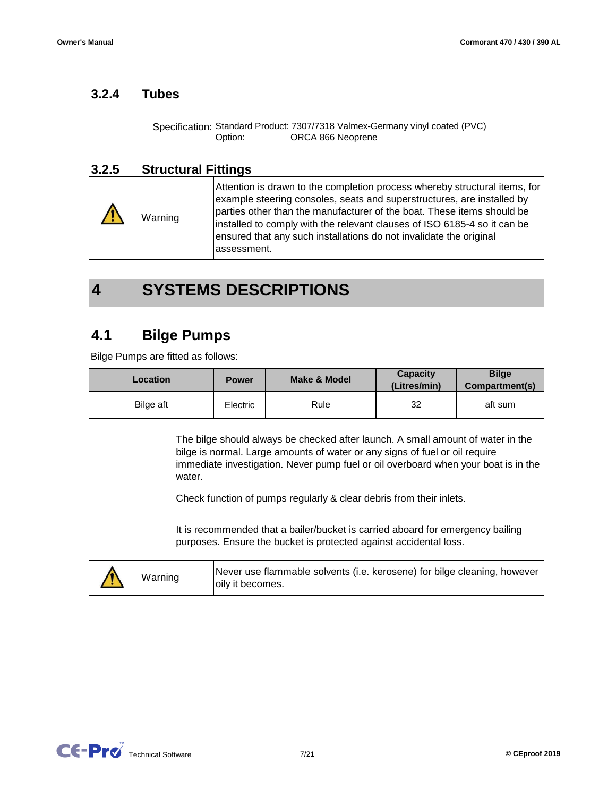#### **3.2.4 Tubes**

Specification: Standard Product: 7307/7318 Valmex-Germany vinyl coated (PVC) Option: ORCA 866 Neoprene

## **3.2.5 Structural Fittings**

Attention is drawn to the completion process whereby structural items, for example steering consoles, seats and superstructures, are installed by parties other than the manufacturer of the boat. These items should be installed to comply with the relevant clauses of ISO 6185-4 so it can be ensured that any such installations do not invalidate the original assessment. Warning

#### **4 SYSTEMS DESCRIPTIONS**

#### **4.1 Bilge Pumps**

Bilge Pumps are fitted as follows:

| <b>Location</b> | <b>Power</b> | Make & Model | Capacity<br>(Litres/min) | <b>Bilge</b><br>Compartment(s) |
|-----------------|--------------|--------------|--------------------------|--------------------------------|
| Bilge aft       | Electric     | Rule         | 32                       | aft sum                        |

The bilge should always be checked after launch. A small amount of water in the bilge is normal. Large amounts of water or any signs of fuel or oil require immediate investigation. Never pump fuel or oil overboard when your boat is in the water.

Check function of pumps regularly & clear debris from their inlets.

It is recommended that a bailer/bucket is carried aboard for emergency bailing purposes. Ensure the bucket is protected against accidental loss.

|  | Warning | Never use flammable solvents (i.e. kerosene) for bilge cleaning, however<br>oily it becomes. |
|--|---------|----------------------------------------------------------------------------------------------|
|--|---------|----------------------------------------------------------------------------------------------|

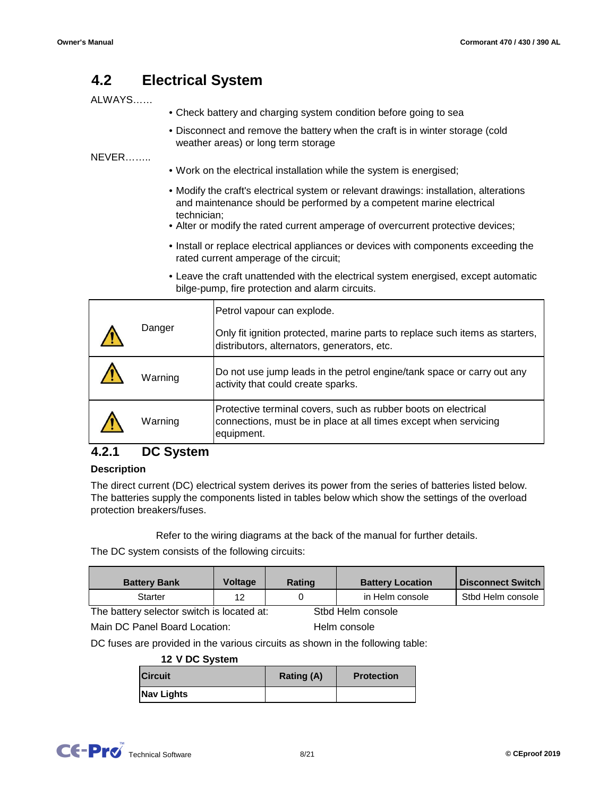#### **4.2 Electrical System**

## ALWAYS……

- Check battery and charging system condition before going to sea
	- Disconnect and remove the battery when the craft is in winter storage (cold weather areas) or long term storage

NEVER……..

- Work on the electrical installation while the system is energised;
- Modify the craft's electrical system or relevant drawings: installation, alterations and maintenance should be performed by a competent marine electrical technician;
- Alter or modify the rated current amperage of overcurrent protective devices;
- Install or replace electrical appliances or devices with components exceeding the rated current amperage of the circuit;
- Leave the craft unattended with the electrical system energised, except automatic bilge-pump, fire protection and alarm circuits.

| Danger |         | Petrol vapour can explode.                                                                                                                       |
|--------|---------|--------------------------------------------------------------------------------------------------------------------------------------------------|
|        |         | Only fit ignition protected, marine parts to replace such items as starters,<br>distributors, alternators, generators, etc.                      |
|        | Warning | Do not use jump leads in the petrol engine/tank space or carry out any<br>activity that could create sparks.                                     |
|        | Warning | Protective terminal covers, such as rubber boots on electrical<br>connections, must be in place at all times except when servicing<br>equipment. |

#### **4.2.1 DC System**

### **Description**

The direct current (DC) electrical system derives its power from the series of batteries listed below. The batteries supply the components listed in tables below which show the settings of the overload protection breakers/fuses.

Refer to the wiring diagrams at the back of the manual for further details.

The DC system consists of the following circuits:

| <b>Battery Bank</b>                        | <b>Voltage</b> | <b>Rating</b> | <b>Battery Location</b> | <b>Disconnect Switch</b> |
|--------------------------------------------|----------------|---------------|-------------------------|--------------------------|
| Starter                                    | 12             |               | in Helm console         | Stbd Helm console        |
| The battery selector switch is located at: |                |               | Stbd Helm console       |                          |

Main DC Panel Board Location:

Helm console

DC fuses are provided in the various circuits as shown in the following table:

### **12 V DC System**

| Circuit    | <b>Rating (A)</b> | <b>Protection</b> |
|------------|-------------------|-------------------|
| Nav Lights |                   |                   |

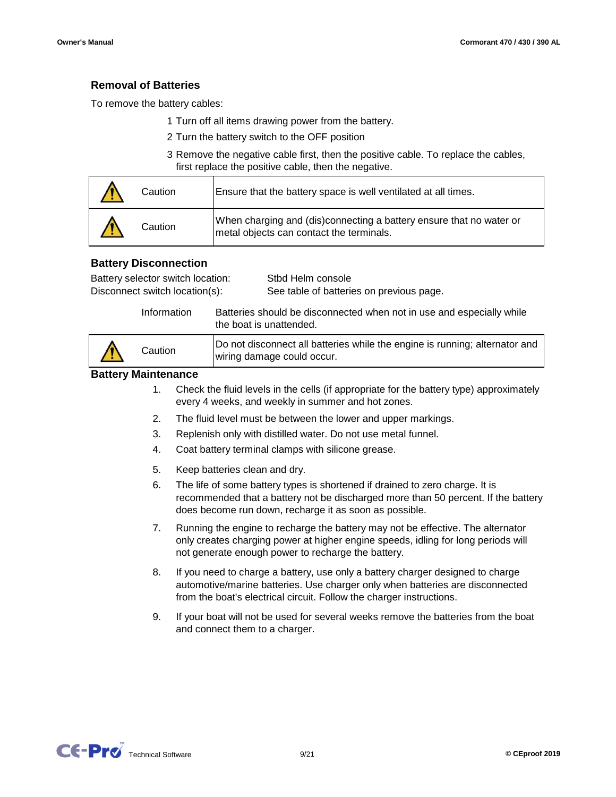## **Removal of Batteries**

To remove the battery cables:

- 1 Turn off all items drawing power from the battery.
- 2 Turn the battery switch to the OFF position
- 3 Remove the negative cable first, then the positive cable. To replace the cables, first replace the positive cable, then the negative.

| Caution | Ensure that the battery space is well ventilated at all times.                                                  |
|---------|-----------------------------------------------------------------------------------------------------------------|
| Caution | When charging and (dis)connecting a battery ensure that no water or<br>metal objects can contact the terminals. |

## **Battery Disconnection**

| Battery selector switch location: | Stbd Helm console                        |
|-----------------------------------|------------------------------------------|
| Disconnect switch location(s):    | See table of batteries on previous page. |

Information Batteries should be disconnected when not in use and especially while the boat is unattended.

| Do not disconnect all batteries while the engine is running; alternator and |
|-----------------------------------------------------------------------------|
|                                                                             |

## **Battery Maintenance**

- 1. Check the fluid levels in the cells (if appropriate for the battery type) approximately every 4 weeks, and weekly in summer and hot zones.
- 2. The fluid level must be between the lower and upper markings.
- 3. Replenish only with distilled water. Do not use metal funnel.
- 4. Coat battery terminal clamps with silicone grease.
- 5. Keep batteries clean and dry.
- 6. The life of some battery types is shortened if drained to zero charge. It is recommended that a battery not be discharged more than 50 percent. If the battery does become run down, recharge it as soon as possible.
- 7. Running the engine to recharge the battery may not be effective. The alternator only creates charging power at higher engine speeds, idling for long periods will not generate enough power to recharge the battery.
- 8. If you need to charge a battery, use only a battery charger designed to charge automotive/marine batteries. Use charger only when batteries are disconnected from the boat's electrical circuit. Follow the charger instructions.
- 9. If your boat will not be used for several weeks remove the batteries from the boat and connect them to a charger.

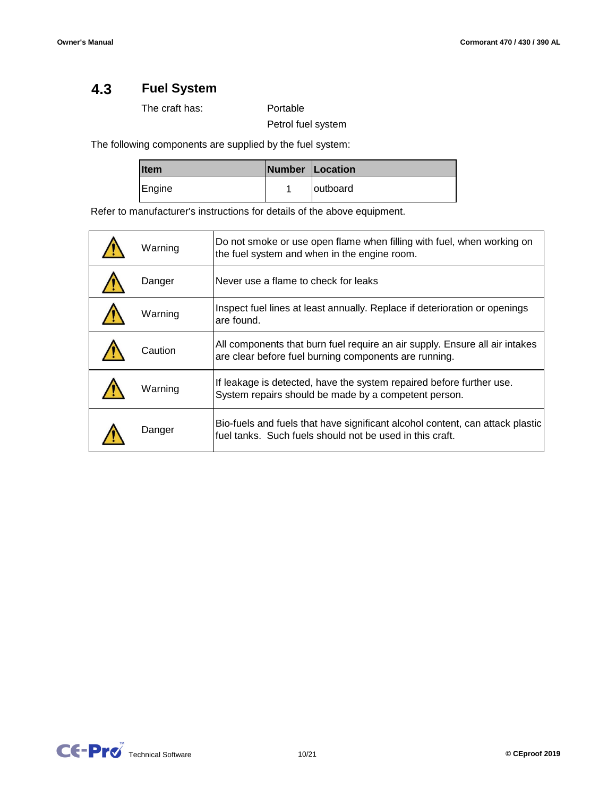#### **4.3 Fuel System**

The craft has:

Portable

Petrol fuel system

The following components are supplied by the fuel system:

| <b>Item</b> | Number Location |
|-------------|-----------------|
| Engine      | loutboard       |

Refer to manufacturer's instructions for details of the above equipment.

| Warning | Do not smoke or use open flame when filling with fuel, when working on<br>the fuel system and when in the engine room.                    |
|---------|-------------------------------------------------------------------------------------------------------------------------------------------|
| Danger  | Never use a flame to check for leaks                                                                                                      |
| Warning | Inspect fuel lines at least annually. Replace if deterioration or openings<br>are found.                                                  |
| Caution | All components that burn fuel require an air supply. Ensure all air intakes<br>are clear before fuel burning components are running.      |
| Warning | If leakage is detected, have the system repaired before further use.<br>System repairs should be made by a competent person.              |
| Danger  | Bio-fuels and fuels that have significant alcohol content, can attack plastic<br>fuel tanks. Such fuels should not be used in this craft. |

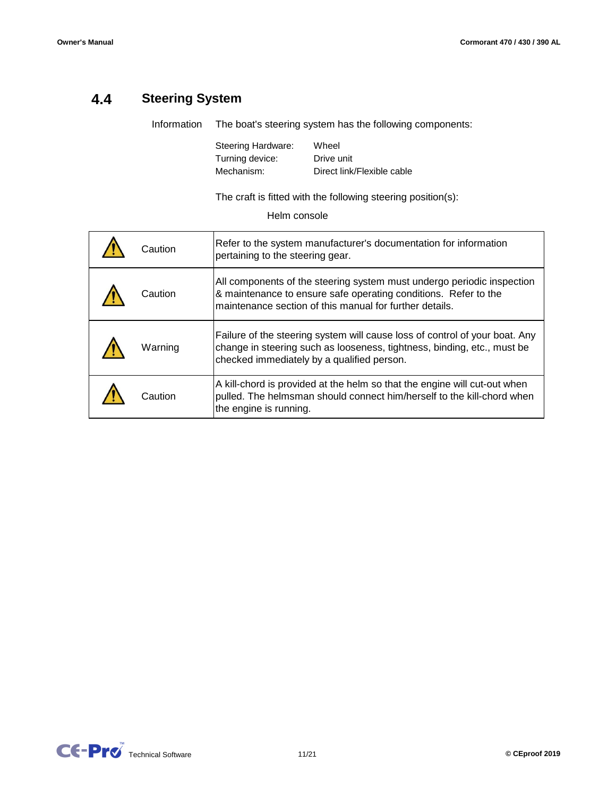#### **4.4 Steering System**

The boat's steering system has the following components: Information

> Mechanism: Direct link/Flexible cable Steering Hardware: Drive unit Turning device: Wheel

The craft is fitted with the following steering position(s):

Helm console

| Caution | Refer to the system manufacturer's documentation for information<br>pertaining to the steering gear.                                                                                                 |
|---------|------------------------------------------------------------------------------------------------------------------------------------------------------------------------------------------------------|
| Caution | All components of the steering system must undergo periodic inspection<br>& maintenance to ensure safe operating conditions. Refer to the<br>maintenance section of this manual for further details. |
| Warning | Failure of the steering system will cause loss of control of your boat. Any<br>change in steering such as looseness, tightness, binding, etc., must be<br>checked immediately by a qualified person. |
| Caution | A kill-chord is provided at the helm so that the engine will cut-out when<br>pulled. The helmsman should connect him/herself to the kill-chord when<br>the engine is running.                        |

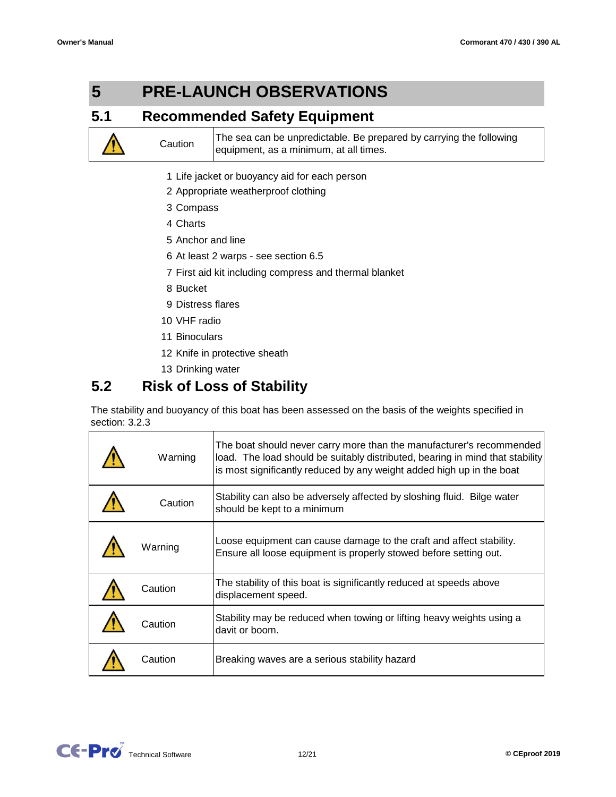#### **5 PRE-LAUNCH OBSERVATIONS**

#### **5.1 Recommended Safety Equipment**

The sea can be unpredictable. Be prepared by carrying the following equipment, as a minimum, at all times.

- 1 Life jacket or buoyancy aid for each person
- 2 Appropriate weatherproof clothing
- 3 Compass
- 4 Charts

**Caution** 

- 5 Anchor and line
- 6 At least 2 warps see section 6.5
- 7 First aid kit including compress and thermal blanket
- 8 Bucket
- 9 Distress flares
- 10 VHF radio
- 11 Binoculars
- 12 Knife in protective sheath
- 13 Drinking water

#### **5.2 Risk of Loss of Stability**

The stability and buoyancy of this boat has been assessed on the basis of the weights specified in section: 3.2.3

| Warning | The boat should never carry more than the manufacturer's recommended<br>load. The load should be suitably distributed, bearing in mind that stability<br>is most significantly reduced by any weight added high up in the boat |
|---------|--------------------------------------------------------------------------------------------------------------------------------------------------------------------------------------------------------------------------------|
| Caution | Stability can also be adversely affected by sloshing fluid. Bilge water<br>should be kept to a minimum                                                                                                                         |
| Warning | Loose equipment can cause damage to the craft and affect stability.<br>Ensure all loose equipment is properly stowed before setting out.                                                                                       |
| Caution | The stability of this boat is significantly reduced at speeds above<br>displacement speed.                                                                                                                                     |
| Caution | Stability may be reduced when towing or lifting heavy weights using a<br>davit or boom.                                                                                                                                        |
| Caution | Breaking waves are a serious stability hazard                                                                                                                                                                                  |

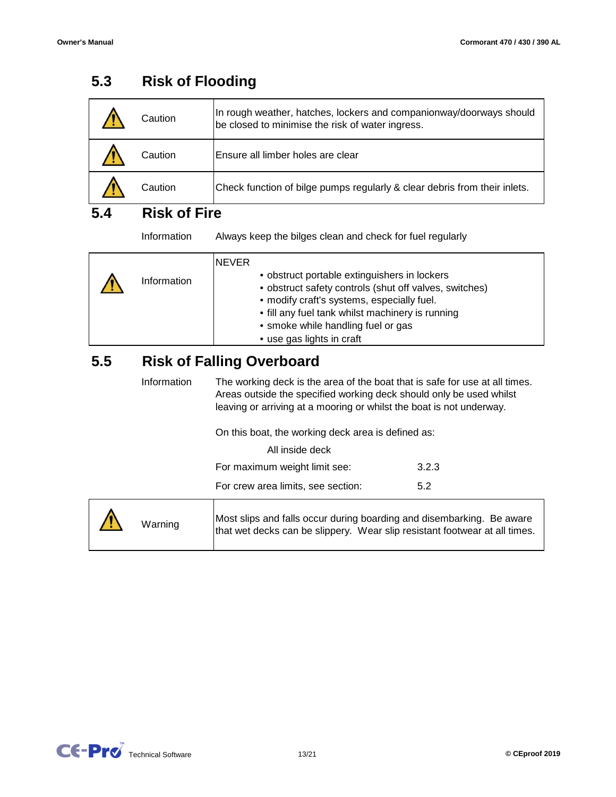|     | Caution                          | In rough weather, hatches, lockers and companionway/doorways should<br>be closed to minimise the risk of water ingress.                                                                                                                                                                     |
|-----|----------------------------------|---------------------------------------------------------------------------------------------------------------------------------------------------------------------------------------------------------------------------------------------------------------------------------------------|
|     | Caution                          | Ensure all limber holes are clear                                                                                                                                                                                                                                                           |
|     | Caution                          | Check function of bilge pumps regularly & clear debris from their inlets.                                                                                                                                                                                                                   |
| 5.4 | <b>Risk of Fire</b>              |                                                                                                                                                                                                                                                                                             |
|     | Information                      | Always keep the bilges clean and check for fuel regularly                                                                                                                                                                                                                                   |
|     | Information                      | <b>NEVER</b><br>• obstruct portable extinguishers in lockers<br>• obstruct safety controls (shut off valves, switches)<br>• modify craft's systems, especially fuel.<br>• fill any fuel tank whilst machinery is running<br>• smoke while handling fuel or gas<br>• use gas lights in craft |
| 5.5 | <b>Risk of Falling Overboard</b> |                                                                                                                                                                                                                                                                                             |
|     | Information                      | The working deck is the area of the boat that is safe for use at all times.<br>Areas outside the specified working deck should only be used whilst<br>leaving or arriving at a mooring or whilst the boat is not underway.                                                                  |
|     |                                  | On this boat, the working deck area is defined as:                                                                                                                                                                                                                                          |
|     |                                  | All inside deck                                                                                                                                                                                                                                                                             |
|     |                                  | For maximum weight limit see:<br>3.2.3                                                                                                                                                                                                                                                      |
|     |                                  | For crew area limits, see section:<br>5.2                                                                                                                                                                                                                                                   |
|     | Warning                          | Most slips and falls occur during boarding and disembarking. Be aware<br>that wet decks can be slippery. Wear slip resistant footwear at all times.                                                                                                                                         |

#### **5.3 Risk of Flooding**

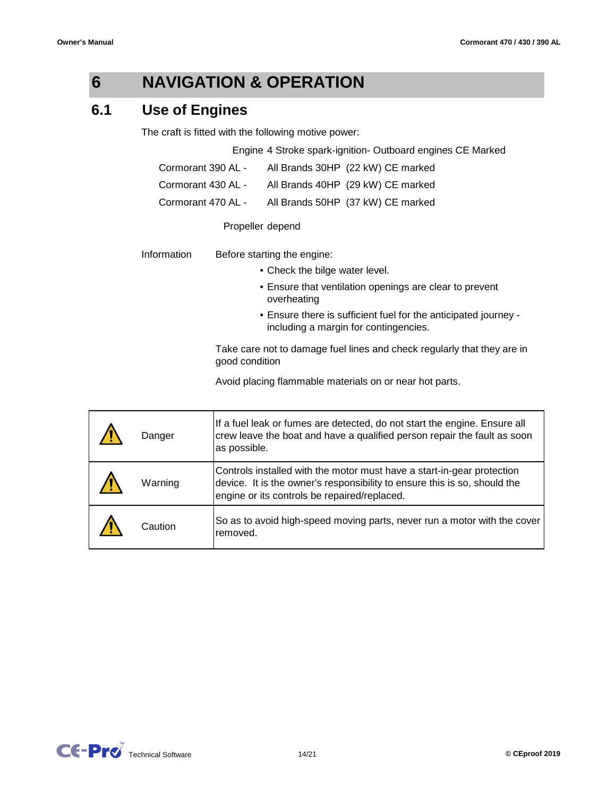#### **6 NAVIGATION & OPERATION**

#### **6.1 Use of Engines**

The craft is fitted with the following motive power:

Engine 4 Stroke spark-ignition- Outboard engines CE Marked

| Cormorant 390 AL - | All Brands 30HP (22 kW) CE marked |
|--------------------|-----------------------------------|
| Cormorant 430 AL - | All Brands 40HP (29 kW) CE marked |
| Cormorant 470 AL - | All Brands 50HP (37 kW) CE marked |

## Propeller depend

| Information | Before starting the engine: |
|-------------|-----------------------------|
|             |                             |

- Check the bilge water level.
- Ensure that ventilation openings are clear to prevent overheating
- Ensure there is sufficient fuel for the anticipated journey including a margin for contingencies.

Take care not to damage fuel lines and check regularly that they are in good condition

Avoid placing flammable materials on or near hot parts.

| Danger  | If a fuel leak or fumes are detected, do not start the engine. Ensure all<br>crew leave the boat and have a qualified person repair the fault as soon<br>as possible.                               |
|---------|-----------------------------------------------------------------------------------------------------------------------------------------------------------------------------------------------------|
| Warning | Controls installed with the motor must have a start-in-gear protection<br>device. It is the owner's responsibility to ensure this is so, should the<br>engine or its controls be repaired/replaced. |
| Caution | So as to avoid high-speed moving parts, never run a motor with the cover<br>removed.                                                                                                                |

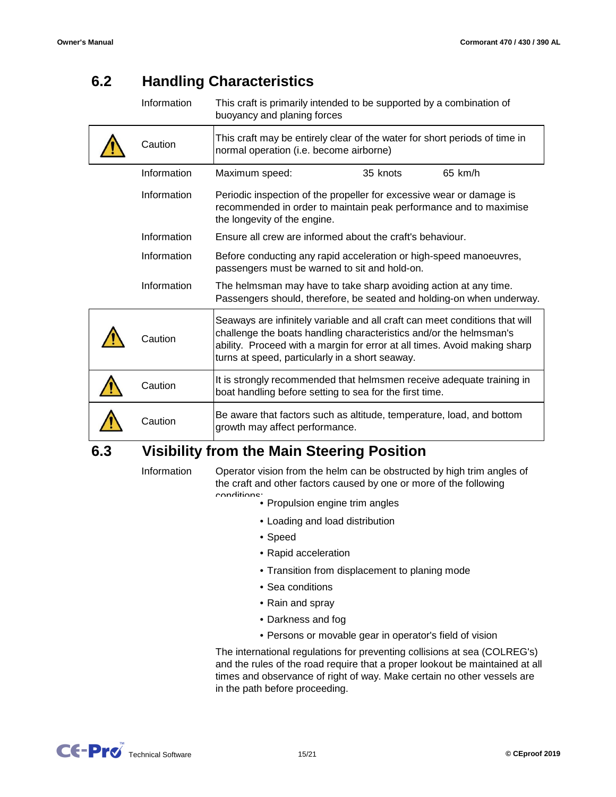#### **6.2 Handling Characteristics**

| Information | This craft is primarily intended to be supported by a combination of<br>buoyancy and planing forces                                                                                                                                                                               |
|-------------|-----------------------------------------------------------------------------------------------------------------------------------------------------------------------------------------------------------------------------------------------------------------------------------|
| Caution     | This craft may be entirely clear of the water for short periods of time in<br>normal operation (i.e. become airborne)                                                                                                                                                             |
| Information | 65 km/h<br>Maximum speed:<br>35 knots                                                                                                                                                                                                                                             |
| Information | Periodic inspection of the propeller for excessive wear or damage is<br>recommended in order to maintain peak performance and to maximise<br>the longevity of the engine.                                                                                                         |
| Information | Ensure all crew are informed about the craft's behaviour.                                                                                                                                                                                                                         |
| Information | Before conducting any rapid acceleration or high-speed manoeuvres,<br>passengers must be warned to sit and hold-on.                                                                                                                                                               |
| Information | The helmsman may have to take sharp avoiding action at any time.<br>Passengers should, therefore, be seated and holding-on when underway.                                                                                                                                         |
| Caution     | Seaways are infinitely variable and all craft can meet conditions that will<br>challenge the boats handling characteristics and/or the helmsman's<br>ability. Proceed with a margin for error at all times. Avoid making sharp<br>turns at speed, particularly in a short seaway. |
| Caution     | It is strongly recommended that helmsmen receive adequate training in<br>boat handling before setting to sea for the first time.                                                                                                                                                  |
| Caution     | Be aware that factors such as altitude, temperature, load, and bottom<br>growth may affect performance.                                                                                                                                                                           |

#### **6.3 Visibility from the Main Steering Position**

Information

Operator vision from the helm can be obstructed by high trim angles of the craft and other factors caused by one or more of the following

- Propulsion engine trim angles conditions:
	- Loading and load distribution
	- Speed
	- Rapid acceleration
	- Transition from displacement to planing mode
	- Sea conditions
	- Rain and spray
	- Darkness and fog
	- Persons or movable gear in operator's field of vision

The international regulations for preventing collisions at sea (COLREG's) and the rules of the road require that a proper lookout be maintained at all times and observance of right of way. Make certain no other vessels are in the path before proceeding.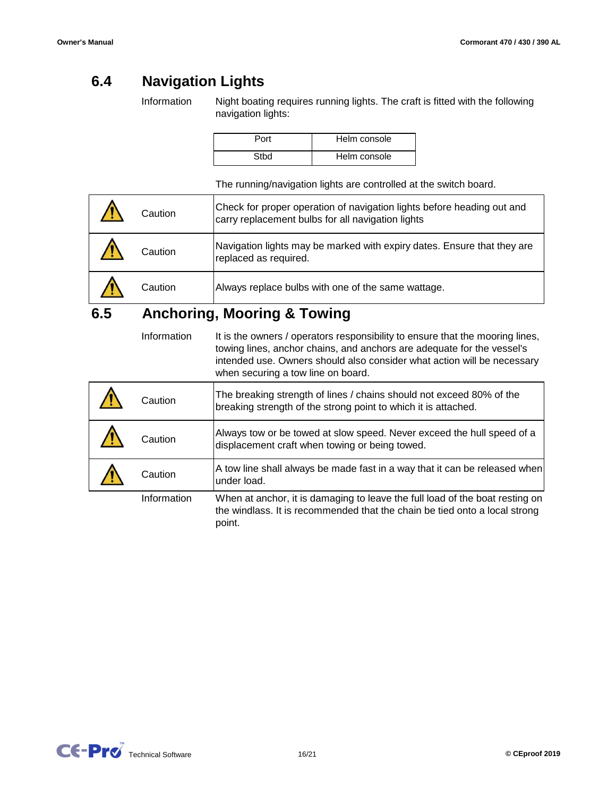#### **6.4 Navigation Lights**

Information Night boating requires running lights. The craft is fitted with the following navigation lights:

| Port | Helm console |
|------|--------------|
| Sthd | Helm console |

The running/navigation lights are controlled at the switch board.

| Caution | Check for proper operation of navigation lights before heading out and<br>carry replacement bulbs for all navigation lights |
|---------|-----------------------------------------------------------------------------------------------------------------------------|
| Caution | Navigation lights may be marked with expiry dates. Ensure that they are<br>replaced as required.                            |
| Caution | Always replace bulbs with one of the same wattage.                                                                          |

#### **6.5 Anchoring, Mooring & Towing**

 $\overline{\Gamma}$ 

It is the owners / operators responsibility to ensure that the mooring lines, towing lines, anchor chains, and anchors are adequate for the vessel's intended use. Owners should also consider what action will be necessary when securing a tow line on board. Information

| Caution     | The breaking strength of lines / chains should not exceed 80% of the<br>breaking strength of the strong point to which it is attached.                               |
|-------------|----------------------------------------------------------------------------------------------------------------------------------------------------------------------|
| Caution     | Always tow or be towed at slow speed. Never exceed the hull speed of a<br>displacement craft when towing or being towed.                                             |
| Caution     | A tow line shall always be made fast in a way that it can be released when<br>under load.                                                                            |
| Information | When at anchor, it is damaging to leave the full load of the boat resting on<br>the windlass. It is recommended that the chain be tied onto a local strong<br>point. |

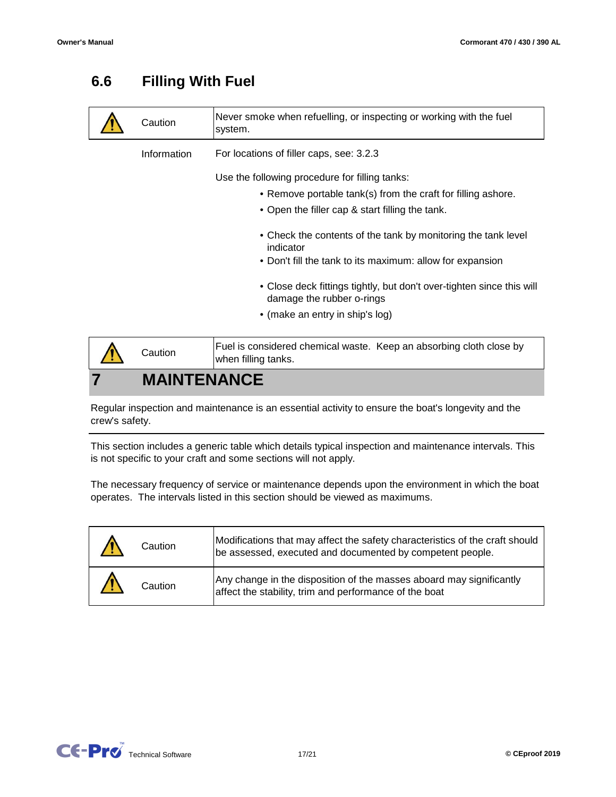#### **6.6 Filling With Fuel**

| Caution            | Never smoke when refuelling, or inspecting or working with the fuel<br>system.                     |
|--------------------|----------------------------------------------------------------------------------------------------|
| Information        | For locations of filler caps, see: 3.2.3                                                           |
|                    | Use the following procedure for filling tanks:                                                     |
|                    | • Remove portable tank(s) from the craft for filling ashore.                                       |
|                    | • Open the filler cap & start filling the tank.                                                    |
|                    | • Check the contents of the tank by monitoring the tank level<br>indicator                         |
|                    | • Don't fill the tank to its maximum: allow for expansion                                          |
|                    | • Close deck fittings tightly, but don't over-tighten since this will<br>damage the rubber o-rings |
|                    | • (make an entry in ship's log)                                                                    |
|                    | Fuel is considered chemical waste. Keep an absorbing cloth close by                                |
| Caution            | when filling tanks.                                                                                |
| <b>MAINTENANCE</b> |                                                                                                    |

Regular inspection and maintenance is an essential activity to ensure the boat's longevity and the crew's safety.

This section includes a generic table which details typical inspection and maintenance intervals. This is not specific to your craft and some sections will not apply.

The necessary frequency of service or maintenance depends upon the environment in which the boat operates. The intervals listed in this section should be viewed as maximums.

| Caution | Modifications that may affect the safety characteristics of the craft should<br>be assessed, executed and documented by competent people. |
|---------|-------------------------------------------------------------------------------------------------------------------------------------------|
| Caution | Any change in the disposition of the masses aboard may significantly<br>affect the stability, trim and performance of the boat            |

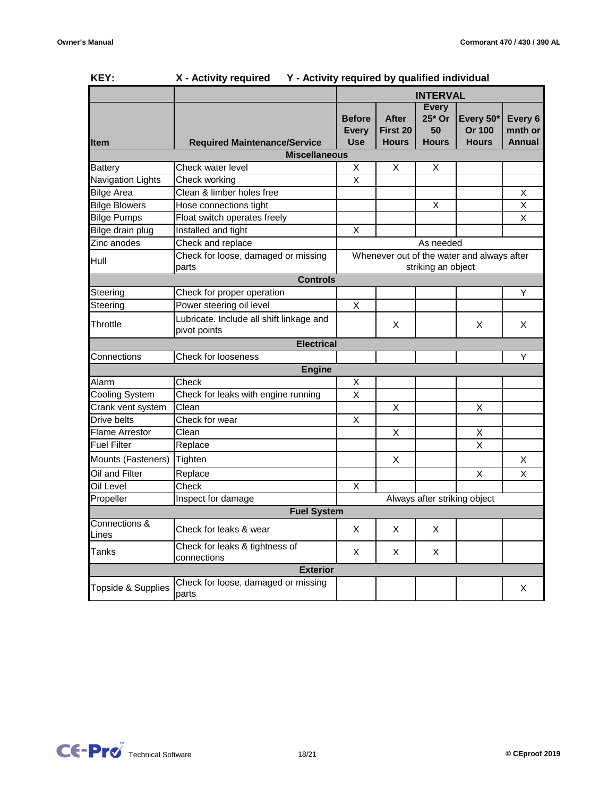| <b>NET:</b>              | x - Activity required<br>1 - Activity required by qualified individual |                                                                  |                 |              |                              |                         |
|--------------------------|------------------------------------------------------------------------|------------------------------------------------------------------|-----------------|--------------|------------------------------|-------------------------|
|                          |                                                                        | <b>INTERVAL</b>                                                  |                 |              |                              |                         |
|                          |                                                                        |                                                                  |                 | <b>Every</b> |                              |                         |
|                          |                                                                        | <b>Before</b>                                                    | <b>After</b>    | 25* Or       | Every 50*                    | Every 6                 |
|                          |                                                                        | <b>Every</b>                                                     | <b>First 20</b> | 50           | Or 100                       | mnth or                 |
| <b>Item</b>              | <b>Required Maintenance/Service</b>                                    | <b>Use</b>                                                       | <b>Hours</b>    | <b>Hours</b> | <b>Hours</b>                 | <b>Annual</b>           |
|                          | <b>Miscellaneous</b>                                                   |                                                                  |                 |              |                              |                         |
| <b>Battery</b>           | Check water level                                                      | X                                                                | X               | X            |                              |                         |
| <b>Navigation Lights</b> | Check working                                                          | $\overline{X}$                                                   |                 |              |                              |                         |
| <b>Bilge Area</b>        | Clean & limber holes free                                              |                                                                  |                 |              |                              | X                       |
| <b>Bilge Blowers</b>     | Hose connections tight                                                 |                                                                  |                 | X            |                              | X                       |
| <b>Bilge Pumps</b>       | Float switch operates freely                                           |                                                                  |                 |              |                              | $\overline{\mathsf{x}}$ |
| Bilge drain plug         | Installed and tight                                                    | X                                                                |                 |              |                              |                         |
| Zinc anodes              | Check and replace                                                      |                                                                  |                 | As needed    |                              |                         |
| Hull                     | Check for loose, damaged or missing<br>parts                           | Whenever out of the water and always after<br>striking an object |                 |              |                              |                         |
|                          | <b>Controls</b>                                                        |                                                                  |                 |              |                              |                         |
| Steering                 | Check for proper operation                                             |                                                                  |                 |              |                              | Y                       |
| Steering                 | Power steering oil level                                               | $\overline{X}$                                                   |                 |              |                              |                         |
| Throttle                 | Lubricate. Include all shift linkage and<br>pivot points               |                                                                  | X               |              | Χ                            | Χ                       |
|                          | <b>Electrical</b>                                                      |                                                                  |                 |              |                              |                         |
| Connections              | Check for looseness                                                    |                                                                  |                 |              |                              | Y                       |
|                          | <b>Engine</b>                                                          |                                                                  |                 |              |                              |                         |
| Alarm                    | Check                                                                  | Χ                                                                |                 |              |                              |                         |
| <b>Cooling System</b>    | Check for leaks with engine running                                    |                                                                  |                 |              |                              |                         |
| Crank vent system        | Clean                                                                  |                                                                  | X               |              | X                            |                         |
| Drive belts              | Check for wear                                                         | X                                                                |                 |              |                              |                         |
| <b>Flame Arrestor</b>    | Clean                                                                  |                                                                  | X               |              | $\overline{\mathsf{x}}$      |                         |
| <b>Fuel Filter</b>       | Replace                                                                |                                                                  |                 |              | X                            |                         |
| Mounts (Fasteners)       | Tighten                                                                |                                                                  | X               |              |                              | X                       |
| Oil and Filter           | Replace                                                                |                                                                  |                 |              | X                            | X                       |
| Oil Level                | Check                                                                  | X                                                                |                 |              |                              |                         |
| Propeller                | Inspect for damage                                                     |                                                                  |                 |              | Always after striking object |                         |
|                          | <b>Fuel System</b>                                                     |                                                                  |                 |              |                              |                         |
| Connections &            | Check for leaks & wear                                                 | X                                                                | X               | X.           |                              |                         |
| Lines                    |                                                                        |                                                                  |                 |              |                              |                         |
| Tanks                    | Check for leaks & tightness of<br>connections                          | X                                                                | X               | X            |                              |                         |
|                          | <b>Exterior</b>                                                        |                                                                  |                 |              |                              |                         |
| Topside & Supplies       | Check for loose, damaged or missing<br>parts                           |                                                                  |                 |              |                              | X                       |

## **KEY: X - Activity required Y - Activity required by qualified individual**

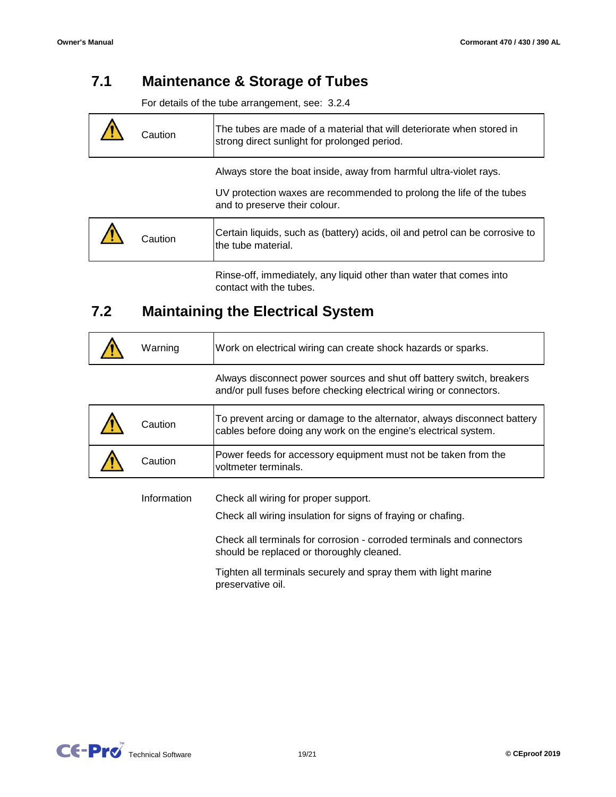#### **7.1 Maintenance & Storage of Tubes**

For details of the tube arrangement, see: 3.2.4

| Caution | The tubes are made of a material that will deteriorate when stored in<br>strong direct sunlight for prolonged period.                                                       |
|---------|-----------------------------------------------------------------------------------------------------------------------------------------------------------------------------|
|         | Always store the boat inside, away from harmful ultra-violet rays.<br>UV protection waxes are recommended to prolong the life of the tubes<br>and to preserve their colour. |
| Ca⊔tion | Certain liquids, such as (battery) acids, oil and petrol can be corrosive to<br>the tube material.                                                                          |

Rinse-off, immediately, any liquid other than water that comes into contact with the tubes.

#### **7.2 Maintaining the Electrical System**

| Warning     | Work on electrical wiring can create shock hazards or sparks.                                                                                                                                                              |
|-------------|----------------------------------------------------------------------------------------------------------------------------------------------------------------------------------------------------------------------------|
|             | Always disconnect power sources and shut off battery switch, breakers<br>and/or pull fuses before checking electrical wiring or connectors.                                                                                |
| Caution     | To prevent arcing or damage to the alternator, always disconnect battery<br>cables before doing any work on the engine's electrical system.                                                                                |
| Caution     | Power feeds for accessory equipment must not be taken from the<br>voltmeter terminals.                                                                                                                                     |
| Information | Check all wiring for proper support.<br>Check all wiring insulation for signs of fraying or chafing.<br>Check all terminals for corrosion - corroded terminals and connectors<br>should be replaced or thoroughly cleaned. |

Tighten all terminals securely and spray them with light marine preservative oil.

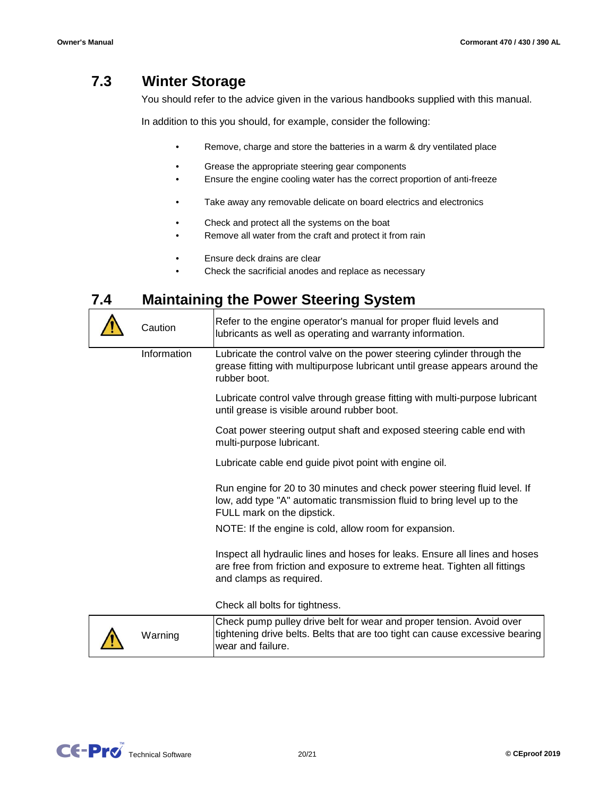#### **7.3 Winter Storage**

You should refer to the advice given in the various handbooks supplied with this manual.

In addition to this you should, for example, consider the following:

- Remove, charge and store the batteries in a warm & dry ventilated place
- Grease the appropriate steering gear components
- Ensure the engine cooling water has the correct proportion of anti-freeze
- Take away any removable delicate on board electrics and electronics
- Check and protect all the systems on the boat
- Remove all water from the craft and protect it from rain
- Ensure deck drains are clear
- Check the sacrificial anodes and replace as necessary

#### **7.4 Maintaining the Power Steering System**

wear and failure.

| Caution     | Refer to the engine operator's manual for proper fluid levels and<br>lubricants as well as operating and warranty information.                                                      |
|-------------|-------------------------------------------------------------------------------------------------------------------------------------------------------------------------------------|
| Information | Lubricate the control valve on the power steering cylinder through the<br>grease fitting with multipurpose lubricant until grease appears around the<br>rubber boot.                |
|             | Lubricate control valve through grease fitting with multi-purpose lubricant<br>until grease is visible around rubber boot.                                                          |
|             | Coat power steering output shaft and exposed steering cable end with<br>multi-purpose lubricant.                                                                                    |
|             | Lubricate cable end guide pivot point with engine oil.                                                                                                                              |
|             | Run engine for 20 to 30 minutes and check power steering fluid level. If<br>low, add type "A" automatic transmission fluid to bring level up to the<br>FULL mark on the dipstick.   |
|             | NOTE: If the engine is cold, allow room for expansion.                                                                                                                              |
|             | Inspect all hydraulic lines and hoses for leaks. Ensure all lines and hoses<br>are free from friction and exposure to extreme heat. Tighten all fittings<br>and clamps as required. |
|             | Check all bolts for tightness.                                                                                                                                                      |
| Warning     | Check pump pulley drive belt for wear and proper tension. Avoid over<br>tightening drive belts. Belts that are too tight can cause excessive bearing                                |